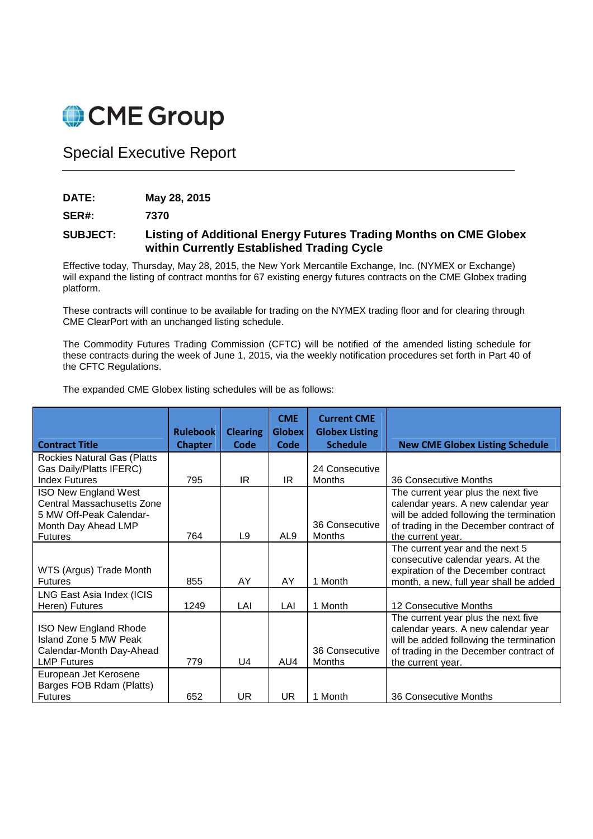

Special Executive Report

**DATE: May 28, 2015** 

**SER#: 7370** 

## **SUBJECT: Listing of Additional Energy Futures Trading Months on CME Globex within Currently Established Trading Cycle**

Effective today, Thursday, May 28, 2015, the New York Mercantile Exchange, Inc. (NYMEX or Exchange) will expand the listing of contract months for 67 existing energy futures contracts on the CME Globex trading platform.

These contracts will continue to be available for trading on the NYMEX trading floor and for clearing through CME ClearPort with an unchanged listing schedule.

The Commodity Futures Trading Commission (CFTC) will be notified of the amended listing schedule for these contracts during the week of June 1, 2015, via the weekly notification procedures set forth in Part 40 of the CFTC Regulations.

The expanded CME Globex listing schedules will be as follows:

|                                                                                                                               | <b>Rulebook</b> | <b>Clearing</b> | <b>CME</b><br><b>Globex</b> | <b>Current CME</b><br><b>Globex Listing</b> |                                                                                                                                                                                      |
|-------------------------------------------------------------------------------------------------------------------------------|-----------------|-----------------|-----------------------------|---------------------------------------------|--------------------------------------------------------------------------------------------------------------------------------------------------------------------------------------|
| <b>Contract Title</b>                                                                                                         | <b>Chapter</b>  | Code            | Code                        | <b>Schedule</b>                             | <b>New CME Globex Listing Schedule</b>                                                                                                                                               |
| Rockies Natural Gas (Platts<br>Gas Daily/Platts IFERC)<br><b>Index Futures</b>                                                | 795             | IR.             | IR                          | 24 Consecutive<br>Months                    | 36 Consecutive Months                                                                                                                                                                |
| <b>ISO New England West</b><br>Central Massachusetts Zone<br>5 MW Off-Peak Calendar-<br>Month Day Ahead LMP<br><b>Futures</b> | 764             | L9              | AL <sub>9</sub>             | 36 Consecutive<br>Months                    | The current year plus the next five<br>calendar years. A new calendar year<br>will be added following the termination<br>of trading in the December contract of<br>the current year. |
| WTS (Argus) Trade Month<br><b>Futures</b>                                                                                     | 855             | AY              | AY                          | 1 Month                                     | The current year and the next 5<br>consecutive calendar years. At the<br>expiration of the December contract<br>month, a new, full year shall be added                               |
| LNG East Asia Index (ICIS<br>Heren) Futures                                                                                   | 1249            | LAI             | LAI                         | 1 Month                                     | 12 Consecutive Months                                                                                                                                                                |
| ISO New England Rhode<br>Island Zone 5 MW Peak<br>Calendar-Month Day-Ahead<br><b>LMP Futures</b>                              | 779             | $\bigcup$       | AU4                         | 36 Consecutive<br>Months                    | The current year plus the next five<br>calendar years. A new calendar year<br>will be added following the termination<br>of trading in the December contract of<br>the current year. |
| European Jet Kerosene<br>Barges FOB Rdam (Platts)<br><b>Futures</b>                                                           | 652             | UR              | UR                          | 1 Month                                     | 36 Consecutive Months                                                                                                                                                                |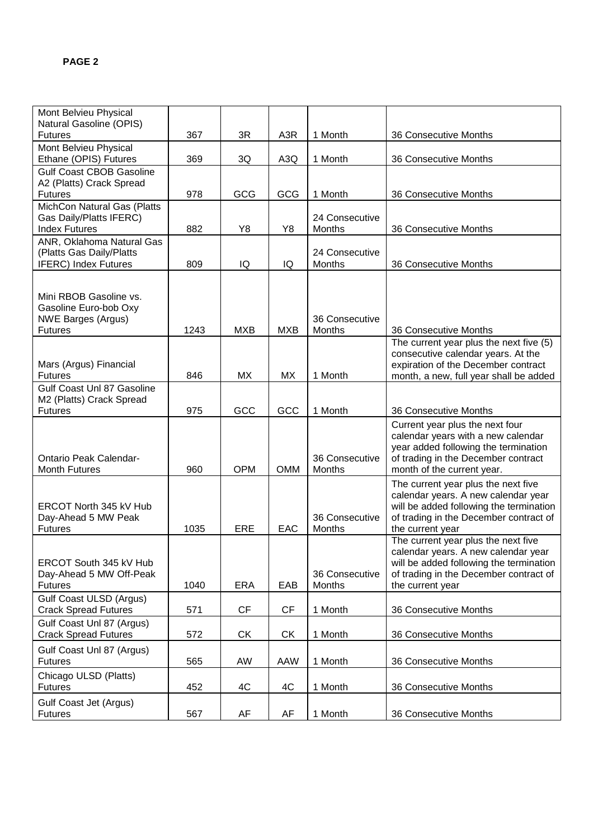| Mont Belvieu Physical<br>Natural Gasoline (OPIS)<br>367<br>3R<br>A <sub>3</sub> R<br>1 Month<br><b>Futures</b><br>36 Consecutive Months<br>Mont Belvieu Physical<br>Ethane (OPIS) Futures<br>A <sub>3</sub> Q<br>1 Month<br>369<br>3Q<br>36 Consecutive Months<br><b>Gulf Coast CBOB Gasoline</b><br>A2 (Platts) Crack Spread<br>GCG<br>978<br>GCG<br>1 Month<br>36 Consecutive Months<br><b>Futures</b><br>MichCon Natural Gas (Platts<br>Gas Daily/Platts IFERC)<br>24 Consecutive<br><b>Index Futures</b><br>882<br>Y8<br>Y8<br><b>Months</b><br>36 Consecutive Months<br>ANR, Oklahoma Natural Gas<br>(Platts Gas Daily/Platts<br>24 Consecutive<br><b>IFERC)</b> Index Futures<br>IQ<br>IQ<br>Months<br>809<br>36 Consecutive Months<br>Mini RBOB Gasoline vs.<br>Gasoline Euro-bob Oxy<br><b>NWE Barges (Argus)</b><br>36 Consecutive<br>1243<br><b>MXB</b><br><b>MXB</b><br><b>Months</b><br>36 Consecutive Months<br><b>Futures</b><br>The current year plus the next five (5)<br>consecutive calendar years. At the<br>expiration of the December contract<br>Mars (Argus) Financial<br><b>MX</b><br><b>MX</b><br>1 Month<br>846<br>month, a new, full year shall be added<br><b>Futures</b><br>Gulf Coast Unl 87 Gasoline<br>M2 (Platts) Crack Spread<br>GCC<br>GCC<br><b>Futures</b><br>975<br>1 Month<br>36 Consecutive Months<br>Current year plus the next four<br>calendar years with a new calendar<br>year added following the termination<br>of trading in the December contract<br><b>Ontario Peak Calendar-</b><br>36 Consecutive<br><b>OPM</b><br><b>Month Futures</b><br>960<br><b>OMM</b><br>Months<br>month of the current year.<br>The current year plus the next five<br>calendar years. A new calendar year<br>will be added following the termination<br>ERCOT North 345 kV Hub<br>36 Consecutive<br>of trading in the December contract of<br>Day-Ahead 5 MW Peak<br><b>ERE</b><br>1035<br>EAC<br>Months<br><b>Futures</b><br>the current year<br>The current year plus the next five<br>calendar years. A new calendar year<br>ERCOT South 345 kV Hub<br>will be added following the termination<br>of trading in the December contract of<br>Day-Ahead 5 MW Off-Peak<br>36 Consecutive<br>1040<br><b>ERA</b><br>EAB<br>Months<br><b>Futures</b><br>the current year<br>Gulf Coast ULSD (Argus)<br><b>CF</b><br><b>CF</b><br>1 Month<br>36 Consecutive Months<br><b>Crack Spread Futures</b><br>571<br>Gulf Coast Unl 87 (Argus)<br><b>CK</b><br><b>CK</b><br><b>Crack Spread Futures</b><br>1 Month<br>36 Consecutive Months<br>572<br>Gulf Coast Unl 87 (Argus)<br><b>Futures</b><br>AW<br>AAW<br>1 Month<br>36 Consecutive Months<br>565<br>Chicago ULSD (Platts)<br>4C<br>4C<br>1 Month<br><b>Futures</b><br>452<br>36 Consecutive Months<br>Gulf Coast Jet (Argus) |                |     |    |    |         |                       |
|-------------------------------------------------------------------------------------------------------------------------------------------------------------------------------------------------------------------------------------------------------------------------------------------------------------------------------------------------------------------------------------------------------------------------------------------------------------------------------------------------------------------------------------------------------------------------------------------------------------------------------------------------------------------------------------------------------------------------------------------------------------------------------------------------------------------------------------------------------------------------------------------------------------------------------------------------------------------------------------------------------------------------------------------------------------------------------------------------------------------------------------------------------------------------------------------------------------------------------------------------------------------------------------------------------------------------------------------------------------------------------------------------------------------------------------------------------------------------------------------------------------------------------------------------------------------------------------------------------------------------------------------------------------------------------------------------------------------------------------------------------------------------------------------------------------------------------------------------------------------------------------------------------------------------------------------------------------------------------------------------------------------------------------------------------------------------------------------------------------------------------------------------------------------------------------------------------------------------------------------------------------------------------------------------------------------------------------------------------------------------------------------------------------------------------------------------------------------------------------------------------------------------------------------------------------------------------------------------------------------------------------------------------------------------------------------------------------------------------------------------------------------------------------------------------|----------------|-----|----|----|---------|-----------------------|
|                                                                                                                                                                                                                                                                                                                                                                                                                                                                                                                                                                                                                                                                                                                                                                                                                                                                                                                                                                                                                                                                                                                                                                                                                                                                                                                                                                                                                                                                                                                                                                                                                                                                                                                                                                                                                                                                                                                                                                                                                                                                                                                                                                                                                                                                                                                                                                                                                                                                                                                                                                                                                                                                                                                                                                                                       |                |     |    |    |         |                       |
|                                                                                                                                                                                                                                                                                                                                                                                                                                                                                                                                                                                                                                                                                                                                                                                                                                                                                                                                                                                                                                                                                                                                                                                                                                                                                                                                                                                                                                                                                                                                                                                                                                                                                                                                                                                                                                                                                                                                                                                                                                                                                                                                                                                                                                                                                                                                                                                                                                                                                                                                                                                                                                                                                                                                                                                                       |                |     |    |    |         |                       |
|                                                                                                                                                                                                                                                                                                                                                                                                                                                                                                                                                                                                                                                                                                                                                                                                                                                                                                                                                                                                                                                                                                                                                                                                                                                                                                                                                                                                                                                                                                                                                                                                                                                                                                                                                                                                                                                                                                                                                                                                                                                                                                                                                                                                                                                                                                                                                                                                                                                                                                                                                                                                                                                                                                                                                                                                       |                |     |    |    |         |                       |
|                                                                                                                                                                                                                                                                                                                                                                                                                                                                                                                                                                                                                                                                                                                                                                                                                                                                                                                                                                                                                                                                                                                                                                                                                                                                                                                                                                                                                                                                                                                                                                                                                                                                                                                                                                                                                                                                                                                                                                                                                                                                                                                                                                                                                                                                                                                                                                                                                                                                                                                                                                                                                                                                                                                                                                                                       |                |     |    |    |         |                       |
|                                                                                                                                                                                                                                                                                                                                                                                                                                                                                                                                                                                                                                                                                                                                                                                                                                                                                                                                                                                                                                                                                                                                                                                                                                                                                                                                                                                                                                                                                                                                                                                                                                                                                                                                                                                                                                                                                                                                                                                                                                                                                                                                                                                                                                                                                                                                                                                                                                                                                                                                                                                                                                                                                                                                                                                                       |                |     |    |    |         |                       |
|                                                                                                                                                                                                                                                                                                                                                                                                                                                                                                                                                                                                                                                                                                                                                                                                                                                                                                                                                                                                                                                                                                                                                                                                                                                                                                                                                                                                                                                                                                                                                                                                                                                                                                                                                                                                                                                                                                                                                                                                                                                                                                                                                                                                                                                                                                                                                                                                                                                                                                                                                                                                                                                                                                                                                                                                       |                |     |    |    |         |                       |
|                                                                                                                                                                                                                                                                                                                                                                                                                                                                                                                                                                                                                                                                                                                                                                                                                                                                                                                                                                                                                                                                                                                                                                                                                                                                                                                                                                                                                                                                                                                                                                                                                                                                                                                                                                                                                                                                                                                                                                                                                                                                                                                                                                                                                                                                                                                                                                                                                                                                                                                                                                                                                                                                                                                                                                                                       |                |     |    |    |         |                       |
|                                                                                                                                                                                                                                                                                                                                                                                                                                                                                                                                                                                                                                                                                                                                                                                                                                                                                                                                                                                                                                                                                                                                                                                                                                                                                                                                                                                                                                                                                                                                                                                                                                                                                                                                                                                                                                                                                                                                                                                                                                                                                                                                                                                                                                                                                                                                                                                                                                                                                                                                                                                                                                                                                                                                                                                                       |                |     |    |    |         |                       |
|                                                                                                                                                                                                                                                                                                                                                                                                                                                                                                                                                                                                                                                                                                                                                                                                                                                                                                                                                                                                                                                                                                                                                                                                                                                                                                                                                                                                                                                                                                                                                                                                                                                                                                                                                                                                                                                                                                                                                                                                                                                                                                                                                                                                                                                                                                                                                                                                                                                                                                                                                                                                                                                                                                                                                                                                       |                |     |    |    |         |                       |
|                                                                                                                                                                                                                                                                                                                                                                                                                                                                                                                                                                                                                                                                                                                                                                                                                                                                                                                                                                                                                                                                                                                                                                                                                                                                                                                                                                                                                                                                                                                                                                                                                                                                                                                                                                                                                                                                                                                                                                                                                                                                                                                                                                                                                                                                                                                                                                                                                                                                                                                                                                                                                                                                                                                                                                                                       |                |     |    |    |         |                       |
|                                                                                                                                                                                                                                                                                                                                                                                                                                                                                                                                                                                                                                                                                                                                                                                                                                                                                                                                                                                                                                                                                                                                                                                                                                                                                                                                                                                                                                                                                                                                                                                                                                                                                                                                                                                                                                                                                                                                                                                                                                                                                                                                                                                                                                                                                                                                                                                                                                                                                                                                                                                                                                                                                                                                                                                                       |                |     |    |    |         |                       |
|                                                                                                                                                                                                                                                                                                                                                                                                                                                                                                                                                                                                                                                                                                                                                                                                                                                                                                                                                                                                                                                                                                                                                                                                                                                                                                                                                                                                                                                                                                                                                                                                                                                                                                                                                                                                                                                                                                                                                                                                                                                                                                                                                                                                                                                                                                                                                                                                                                                                                                                                                                                                                                                                                                                                                                                                       |                |     |    |    |         |                       |
|                                                                                                                                                                                                                                                                                                                                                                                                                                                                                                                                                                                                                                                                                                                                                                                                                                                                                                                                                                                                                                                                                                                                                                                                                                                                                                                                                                                                                                                                                                                                                                                                                                                                                                                                                                                                                                                                                                                                                                                                                                                                                                                                                                                                                                                                                                                                                                                                                                                                                                                                                                                                                                                                                                                                                                                                       |                |     |    |    |         |                       |
|                                                                                                                                                                                                                                                                                                                                                                                                                                                                                                                                                                                                                                                                                                                                                                                                                                                                                                                                                                                                                                                                                                                                                                                                                                                                                                                                                                                                                                                                                                                                                                                                                                                                                                                                                                                                                                                                                                                                                                                                                                                                                                                                                                                                                                                                                                                                                                                                                                                                                                                                                                                                                                                                                                                                                                                                       |                |     |    |    |         |                       |
|                                                                                                                                                                                                                                                                                                                                                                                                                                                                                                                                                                                                                                                                                                                                                                                                                                                                                                                                                                                                                                                                                                                                                                                                                                                                                                                                                                                                                                                                                                                                                                                                                                                                                                                                                                                                                                                                                                                                                                                                                                                                                                                                                                                                                                                                                                                                                                                                                                                                                                                                                                                                                                                                                                                                                                                                       |                |     |    |    |         |                       |
|                                                                                                                                                                                                                                                                                                                                                                                                                                                                                                                                                                                                                                                                                                                                                                                                                                                                                                                                                                                                                                                                                                                                                                                                                                                                                                                                                                                                                                                                                                                                                                                                                                                                                                                                                                                                                                                                                                                                                                                                                                                                                                                                                                                                                                                                                                                                                                                                                                                                                                                                                                                                                                                                                                                                                                                                       |                |     |    |    |         |                       |
|                                                                                                                                                                                                                                                                                                                                                                                                                                                                                                                                                                                                                                                                                                                                                                                                                                                                                                                                                                                                                                                                                                                                                                                                                                                                                                                                                                                                                                                                                                                                                                                                                                                                                                                                                                                                                                                                                                                                                                                                                                                                                                                                                                                                                                                                                                                                                                                                                                                                                                                                                                                                                                                                                                                                                                                                       |                |     |    |    |         |                       |
|                                                                                                                                                                                                                                                                                                                                                                                                                                                                                                                                                                                                                                                                                                                                                                                                                                                                                                                                                                                                                                                                                                                                                                                                                                                                                                                                                                                                                                                                                                                                                                                                                                                                                                                                                                                                                                                                                                                                                                                                                                                                                                                                                                                                                                                                                                                                                                                                                                                                                                                                                                                                                                                                                                                                                                                                       |                |     |    |    |         |                       |
|                                                                                                                                                                                                                                                                                                                                                                                                                                                                                                                                                                                                                                                                                                                                                                                                                                                                                                                                                                                                                                                                                                                                                                                                                                                                                                                                                                                                                                                                                                                                                                                                                                                                                                                                                                                                                                                                                                                                                                                                                                                                                                                                                                                                                                                                                                                                                                                                                                                                                                                                                                                                                                                                                                                                                                                                       |                |     |    |    |         |                       |
|                                                                                                                                                                                                                                                                                                                                                                                                                                                                                                                                                                                                                                                                                                                                                                                                                                                                                                                                                                                                                                                                                                                                                                                                                                                                                                                                                                                                                                                                                                                                                                                                                                                                                                                                                                                                                                                                                                                                                                                                                                                                                                                                                                                                                                                                                                                                                                                                                                                                                                                                                                                                                                                                                                                                                                                                       |                |     |    |    |         |                       |
|                                                                                                                                                                                                                                                                                                                                                                                                                                                                                                                                                                                                                                                                                                                                                                                                                                                                                                                                                                                                                                                                                                                                                                                                                                                                                                                                                                                                                                                                                                                                                                                                                                                                                                                                                                                                                                                                                                                                                                                                                                                                                                                                                                                                                                                                                                                                                                                                                                                                                                                                                                                                                                                                                                                                                                                                       |                |     |    |    |         |                       |
|                                                                                                                                                                                                                                                                                                                                                                                                                                                                                                                                                                                                                                                                                                                                                                                                                                                                                                                                                                                                                                                                                                                                                                                                                                                                                                                                                                                                                                                                                                                                                                                                                                                                                                                                                                                                                                                                                                                                                                                                                                                                                                                                                                                                                                                                                                                                                                                                                                                                                                                                                                                                                                                                                                                                                                                                       |                |     |    |    |         |                       |
|                                                                                                                                                                                                                                                                                                                                                                                                                                                                                                                                                                                                                                                                                                                                                                                                                                                                                                                                                                                                                                                                                                                                                                                                                                                                                                                                                                                                                                                                                                                                                                                                                                                                                                                                                                                                                                                                                                                                                                                                                                                                                                                                                                                                                                                                                                                                                                                                                                                                                                                                                                                                                                                                                                                                                                                                       |                |     |    |    |         |                       |
|                                                                                                                                                                                                                                                                                                                                                                                                                                                                                                                                                                                                                                                                                                                                                                                                                                                                                                                                                                                                                                                                                                                                                                                                                                                                                                                                                                                                                                                                                                                                                                                                                                                                                                                                                                                                                                                                                                                                                                                                                                                                                                                                                                                                                                                                                                                                                                                                                                                                                                                                                                                                                                                                                                                                                                                                       |                |     |    |    |         |                       |
|                                                                                                                                                                                                                                                                                                                                                                                                                                                                                                                                                                                                                                                                                                                                                                                                                                                                                                                                                                                                                                                                                                                                                                                                                                                                                                                                                                                                                                                                                                                                                                                                                                                                                                                                                                                                                                                                                                                                                                                                                                                                                                                                                                                                                                                                                                                                                                                                                                                                                                                                                                                                                                                                                                                                                                                                       |                |     |    |    |         |                       |
|                                                                                                                                                                                                                                                                                                                                                                                                                                                                                                                                                                                                                                                                                                                                                                                                                                                                                                                                                                                                                                                                                                                                                                                                                                                                                                                                                                                                                                                                                                                                                                                                                                                                                                                                                                                                                                                                                                                                                                                                                                                                                                                                                                                                                                                                                                                                                                                                                                                                                                                                                                                                                                                                                                                                                                                                       |                |     |    |    |         |                       |
|                                                                                                                                                                                                                                                                                                                                                                                                                                                                                                                                                                                                                                                                                                                                                                                                                                                                                                                                                                                                                                                                                                                                                                                                                                                                                                                                                                                                                                                                                                                                                                                                                                                                                                                                                                                                                                                                                                                                                                                                                                                                                                                                                                                                                                                                                                                                                                                                                                                                                                                                                                                                                                                                                                                                                                                                       |                |     |    |    |         |                       |
|                                                                                                                                                                                                                                                                                                                                                                                                                                                                                                                                                                                                                                                                                                                                                                                                                                                                                                                                                                                                                                                                                                                                                                                                                                                                                                                                                                                                                                                                                                                                                                                                                                                                                                                                                                                                                                                                                                                                                                                                                                                                                                                                                                                                                                                                                                                                                                                                                                                                                                                                                                                                                                                                                                                                                                                                       |                |     |    |    |         |                       |
|                                                                                                                                                                                                                                                                                                                                                                                                                                                                                                                                                                                                                                                                                                                                                                                                                                                                                                                                                                                                                                                                                                                                                                                                                                                                                                                                                                                                                                                                                                                                                                                                                                                                                                                                                                                                                                                                                                                                                                                                                                                                                                                                                                                                                                                                                                                                                                                                                                                                                                                                                                                                                                                                                                                                                                                                       |                |     |    |    |         |                       |
|                                                                                                                                                                                                                                                                                                                                                                                                                                                                                                                                                                                                                                                                                                                                                                                                                                                                                                                                                                                                                                                                                                                                                                                                                                                                                                                                                                                                                                                                                                                                                                                                                                                                                                                                                                                                                                                                                                                                                                                                                                                                                                                                                                                                                                                                                                                                                                                                                                                                                                                                                                                                                                                                                                                                                                                                       |                |     |    |    |         |                       |
|                                                                                                                                                                                                                                                                                                                                                                                                                                                                                                                                                                                                                                                                                                                                                                                                                                                                                                                                                                                                                                                                                                                                                                                                                                                                                                                                                                                                                                                                                                                                                                                                                                                                                                                                                                                                                                                                                                                                                                                                                                                                                                                                                                                                                                                                                                                                                                                                                                                                                                                                                                                                                                                                                                                                                                                                       |                |     |    |    |         |                       |
|                                                                                                                                                                                                                                                                                                                                                                                                                                                                                                                                                                                                                                                                                                                                                                                                                                                                                                                                                                                                                                                                                                                                                                                                                                                                                                                                                                                                                                                                                                                                                                                                                                                                                                                                                                                                                                                                                                                                                                                                                                                                                                                                                                                                                                                                                                                                                                                                                                                                                                                                                                                                                                                                                                                                                                                                       |                |     |    |    |         |                       |
|                                                                                                                                                                                                                                                                                                                                                                                                                                                                                                                                                                                                                                                                                                                                                                                                                                                                                                                                                                                                                                                                                                                                                                                                                                                                                                                                                                                                                                                                                                                                                                                                                                                                                                                                                                                                                                                                                                                                                                                                                                                                                                                                                                                                                                                                                                                                                                                                                                                                                                                                                                                                                                                                                                                                                                                                       |                |     |    |    |         |                       |
|                                                                                                                                                                                                                                                                                                                                                                                                                                                                                                                                                                                                                                                                                                                                                                                                                                                                                                                                                                                                                                                                                                                                                                                                                                                                                                                                                                                                                                                                                                                                                                                                                                                                                                                                                                                                                                                                                                                                                                                                                                                                                                                                                                                                                                                                                                                                                                                                                                                                                                                                                                                                                                                                                                                                                                                                       |                |     |    |    |         |                       |
|                                                                                                                                                                                                                                                                                                                                                                                                                                                                                                                                                                                                                                                                                                                                                                                                                                                                                                                                                                                                                                                                                                                                                                                                                                                                                                                                                                                                                                                                                                                                                                                                                                                                                                                                                                                                                                                                                                                                                                                                                                                                                                                                                                                                                                                                                                                                                                                                                                                                                                                                                                                                                                                                                                                                                                                                       | <b>Futures</b> | 567 | AF | AF | 1 Month | 36 Consecutive Months |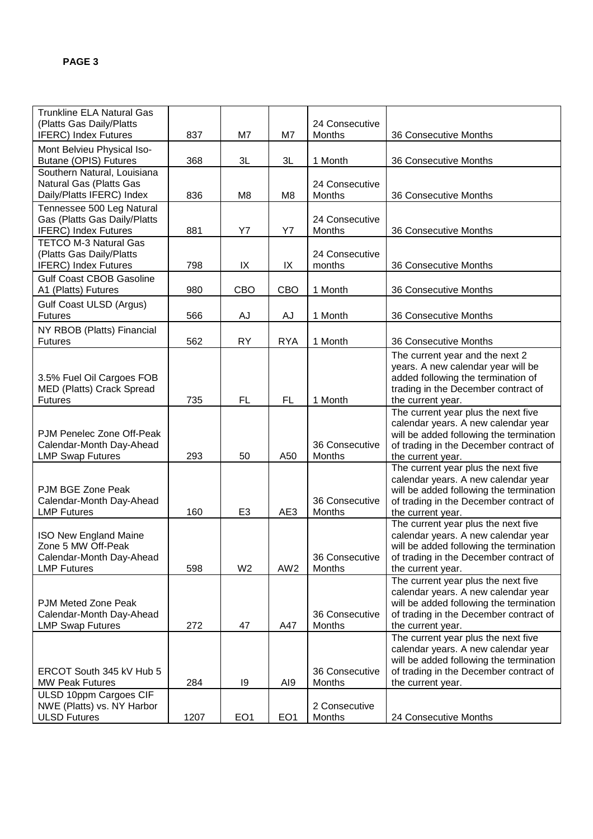| <b>Trunkline ELA Natural Gas</b><br>(Platts Gas Daily/Platts                                         |      |                 |                 | 24 Consecutive                  |                                                                                                                                                                                      |
|------------------------------------------------------------------------------------------------------|------|-----------------|-----------------|---------------------------------|--------------------------------------------------------------------------------------------------------------------------------------------------------------------------------------|
| <b>IFERC)</b> Index Futures                                                                          | 837  | M7              | M7              | Months                          | 36 Consecutive Months                                                                                                                                                                |
| Mont Belvieu Physical Iso-<br>Butane (OPIS) Futures                                                  | 368  | 3L              | 3L              | 1 Month                         | 36 Consecutive Months                                                                                                                                                                |
| Southern Natural, Louisiana<br>Natural Gas (Platts Gas<br>Daily/Platts IFERC) Index                  | 836  | M <sub>8</sub>  | M <sub>8</sub>  | 24 Consecutive<br>Months        | 36 Consecutive Months                                                                                                                                                                |
| Tennessee 500 Leg Natural<br>Gas (Platts Gas Daily/Platts<br><b>IFERC)</b> Index Futures             | 881  | Y7              | <b>Y7</b>       | 24 Consecutive<br><b>Months</b> | 36 Consecutive Months                                                                                                                                                                |
| <b>TETCO M-3 Natural Gas</b><br>(Platts Gas Daily/Platts<br><b>IFERC)</b> Index Futures              | 798  | IX              | IX              | 24 Consecutive<br>months        | 36 Consecutive Months                                                                                                                                                                |
| <b>Gulf Coast CBOB Gasoline</b><br>A1 (Platts) Futures                                               | 980  | CBO             | CBO             | 1 Month                         | 36 Consecutive Months                                                                                                                                                                |
| Gulf Coast ULSD (Argus)<br><b>Futures</b>                                                            | 566  | AJ              | AJ              | 1 Month                         | 36 Consecutive Months                                                                                                                                                                |
| NY RBOB (Platts) Financial<br><b>Futures</b>                                                         | 562  | <b>RY</b>       | <b>RYA</b>      | 1 Month                         | 36 Consecutive Months                                                                                                                                                                |
| 3.5% Fuel Oil Cargoes FOB<br>MED (Platts) Crack Spread<br><b>Futures</b>                             | 735  | FL.             | <b>FL</b>       | 1 Month                         | The current year and the next 2<br>years. A new calendar year will be<br>added following the termination of<br>trading in the December contract of<br>the current year.              |
| PJM Penelec Zone Off-Peak<br>Calendar-Month Day-Ahead<br><b>LMP Swap Futures</b>                     | 293  | 50              | A50             | 36 Consecutive<br>Months        | The current year plus the next five<br>calendar years. A new calendar year<br>will be added following the termination<br>of trading in the December contract of<br>the current year. |
| PJM BGE Zone Peak<br>Calendar-Month Day-Ahead<br><b>LMP Futures</b>                                  | 160  | E <sub>3</sub>  | AE3             | 36 Consecutive<br>Months        | The current year plus the next five<br>calendar years. A new calendar year<br>will be added following the termination<br>of trading in the December contract of<br>the current year. |
| <b>ISO New England Maine</b><br>Zone 5 MW Off-Peak<br>Calendar-Month Day-Ahead<br><b>LMP Futures</b> | 598  | W <sub>2</sub>  | AW <sub>2</sub> | 36 Consecutive<br>Months        | The current year plus the next five<br>calendar years. A new calendar year<br>will be added following the termination<br>of trading in the December contract of<br>the current year. |
| PJM Meted Zone Peak<br>Calendar-Month Day-Ahead<br><b>LMP Swap Futures</b>                           | 272  | 47              | A47             | 36 Consecutive<br>Months        | The current year plus the next five<br>calendar years. A new calendar year<br>will be added following the termination<br>of trading in the December contract of<br>the current year. |
| ERCOT South 345 kV Hub 5<br><b>MW Peak Futures</b>                                                   | 284  | 19              | AI9             | 36 Consecutive<br>Months        | The current year plus the next five<br>calendar years. A new calendar year<br>will be added following the termination<br>of trading in the December contract of<br>the current year. |
| ULSD 10ppm Cargoes CIF<br>NWE (Platts) vs. NY Harbor<br><b>ULSD Futures</b>                          | 1207 | EO <sub>1</sub> | EO <sub>1</sub> | 2 Consecutive<br>Months         | 24 Consecutive Months                                                                                                                                                                |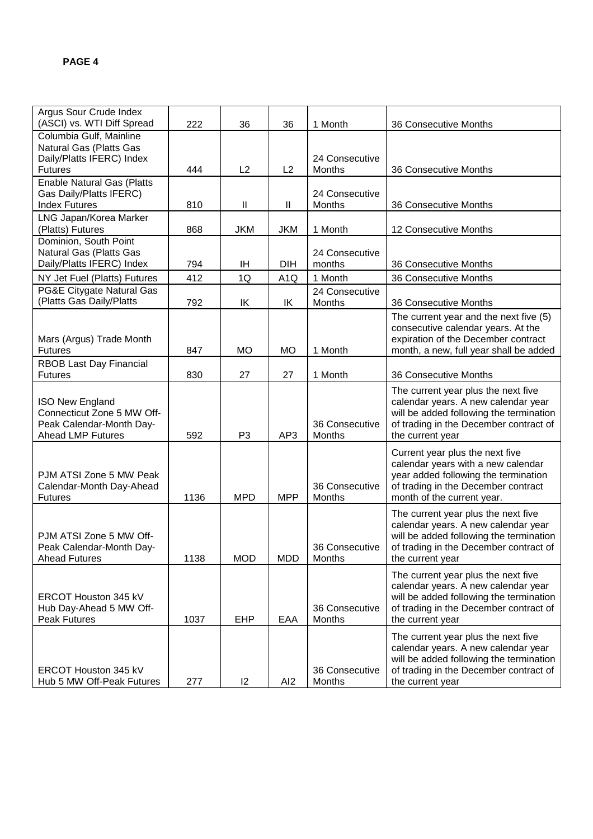| Argus Sour Crude Index<br>(ASCI) vs. WTI Diff Spread                                                         | 222  | 36             | 36               | 1 Month                  | 36 Consecutive Months                                                                                                                                                               |
|--------------------------------------------------------------------------------------------------------------|------|----------------|------------------|--------------------------|-------------------------------------------------------------------------------------------------------------------------------------------------------------------------------------|
| Columbia Gulf, Mainline<br>Natural Gas (Platts Gas<br>Daily/Platts IFERC) Index<br><b>Futures</b>            | 444  | L2             | L <sub>2</sub>   | 24 Consecutive<br>Months | 36 Consecutive Months                                                                                                                                                               |
| <b>Enable Natural Gas (Platts</b><br>Gas Daily/Platts IFERC)<br><b>Index Futures</b>                         | 810  | Ш              | Ш                | 24 Consecutive<br>Months | 36 Consecutive Months                                                                                                                                                               |
| LNG Japan/Korea Marker<br>(Platts) Futures                                                                   | 868  | <b>JKM</b>     | <b>JKM</b>       | 1 Month                  | 12 Consecutive Months                                                                                                                                                               |
| Dominion, South Point<br>Natural Gas (Platts Gas<br>Daily/Platts IFERC) Index                                | 794  | IH             | <b>DIH</b>       | 24 Consecutive<br>months | 36 Consecutive Months                                                                                                                                                               |
| NY Jet Fuel (Platts) Futures                                                                                 | 412  | 1Q             | A <sub>1</sub> Q | 1 Month                  | 36 Consecutive Months                                                                                                                                                               |
| PG&E Citygate Natural Gas<br>(Platts Gas Daily/Platts                                                        | 792  | ΙK             | ΙK               | 24 Consecutive<br>Months | 36 Consecutive Months                                                                                                                                                               |
| Mars (Argus) Trade Month<br><b>Futures</b>                                                                   | 847  | MO             | <b>MO</b>        | 1 Month                  | The current year and the next five (5)<br>consecutive calendar years. At the<br>expiration of the December contract<br>month, a new, full year shall be added                       |
| RBOB Last Day Financial<br><b>Futures</b>                                                                    | 830  | 27             | 27               | 1 Month                  | 36 Consecutive Months                                                                                                                                                               |
| <b>ISO New England</b><br>Connecticut Zone 5 MW Off-<br>Peak Calendar-Month Day-<br><b>Ahead LMP Futures</b> | 592  | P <sub>3</sub> | AP3              | 36 Consecutive<br>Months | The current year plus the next five<br>calendar years. A new calendar year<br>will be added following the termination<br>of trading in the December contract of<br>the current year |
| PJM ATSI Zone 5 MW Peak<br>Calendar-Month Day-Ahead<br><b>Futures</b>                                        | 1136 | <b>MPD</b>     | <b>MPP</b>       | 36 Consecutive<br>Months | Current year plus the next five<br>calendar years with a new calendar<br>year added following the termination<br>of trading in the December contract<br>month of the current year.  |
| PJM ATSI Zone 5 MW Off-<br>Peak Calendar-Month Day-<br><b>Ahead Futures</b>                                  | 1138 | <b>MOD</b>     | <b>MDD</b>       | 36 Consecutive<br>Months | The current year plus the next five<br>calendar years. A new calendar year<br>will be added following the termination<br>of trading in the December contract of<br>the current year |
| ERCOT Houston 345 kV<br>Hub Day-Ahead 5 MW Off-<br>Peak Futures                                              | 1037 | EHP            | EAA              | 36 Consecutive<br>Months | The current year plus the next five<br>calendar years. A new calendar year<br>will be added following the termination<br>of trading in the December contract of<br>the current year |
| ERCOT Houston 345 kV<br>Hub 5 MW Off-Peak Futures                                                            | 277  | $ 2\rangle$    | AI <sub>2</sub>  | 36 Consecutive<br>Months | The current year plus the next five<br>calendar years. A new calendar year<br>will be added following the termination<br>of trading in the December contract of<br>the current year |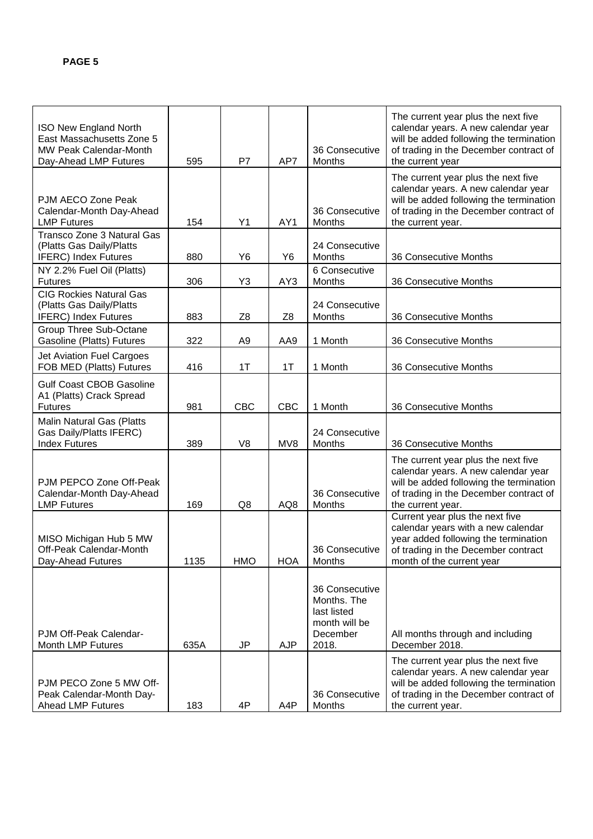| ISO New England North<br>East Massachusetts Zone 5<br><b>MW Peak Calendar-Month</b><br>Day-Ahead LMP Futures | 595  | P7             | AP7            | 36 Consecutive<br>Months                                                           | The current year plus the next five<br>calendar years. A new calendar year<br>will be added following the termination<br>of trading in the December contract of<br>the current year  |
|--------------------------------------------------------------------------------------------------------------|------|----------------|----------------|------------------------------------------------------------------------------------|--------------------------------------------------------------------------------------------------------------------------------------------------------------------------------------|
| PJM AECO Zone Peak<br>Calendar-Month Day-Ahead<br><b>LMP Futures</b>                                         | 154  | Y1             | AY1            | 36 Consecutive<br>Months                                                           | The current year plus the next five<br>calendar years. A new calendar year<br>will be added following the termination<br>of trading in the December contract of<br>the current year. |
| Transco Zone 3 Natural Gas<br>(Platts Gas Daily/Platts<br><b>IFERC)</b> Index Futures                        | 880  | Y6             | Y6             | 24 Consecutive<br>Months                                                           | 36 Consecutive Months                                                                                                                                                                |
| NY 2.2% Fuel Oil (Platts)<br><b>Futures</b>                                                                  | 306  | Y3             | AY3            | 6 Consecutive<br>Months                                                            | 36 Consecutive Months                                                                                                                                                                |
| <b>CIG Rockies Natural Gas</b><br>(Platts Gas Daily/Platts<br><b>IFERC)</b> Index Futures                    | 883  | Z <sub>8</sub> | Z <sub>8</sub> | 24 Consecutive<br>Months                                                           | 36 Consecutive Months                                                                                                                                                                |
| Group Three Sub-Octane<br>Gasoline (Platts) Futures                                                          | 322  | A <sub>9</sub> | AA9            | 1 Month                                                                            | 36 Consecutive Months                                                                                                                                                                |
| Jet Aviation Fuel Cargoes<br>FOB MED (Platts) Futures                                                        | 416  | 1T             | 1T             | 1 Month                                                                            | 36 Consecutive Months                                                                                                                                                                |
| <b>Gulf Coast CBOB Gasoline</b><br>A1 (Platts) Crack Spread<br><b>Futures</b>                                | 981  | <b>CBC</b>     | CBC            | 1 Month                                                                            | 36 Consecutive Months                                                                                                                                                                |
| Malin Natural Gas (Platts<br>Gas Daily/Platts IFERC)<br><b>Index Futures</b>                                 | 389  | V <sub>8</sub> | MV8            | 24 Consecutive<br>Months                                                           | 36 Consecutive Months                                                                                                                                                                |
| PJM PEPCO Zone Off-Peak<br>Calendar-Month Day-Ahead<br><b>LMP Futures</b>                                    | 169  | Q8             | AQ8            | 36 Consecutive<br>Months                                                           | The current year plus the next five<br>calendar years. A new calendar year<br>will be added following the termination<br>of trading in the December contract of<br>the current year. |
| MISO Michigan Hub 5 MW<br>Off-Peak Calendar-Month<br>Day-Ahead Futures                                       | 1135 | <b>HMO</b>     | <b>HOA</b>     | 36 Consecutive<br>Months                                                           | Current year plus the next five<br>calendar years with a new calendar<br>year added following the termination<br>of trading in the December contract<br>month of the current year    |
| PJM Off-Peak Calendar-<br>Month LMP Futures                                                                  | 635A | JP             | <b>AJP</b>     | 36 Consecutive<br>Months. The<br>last listed<br>month will be<br>December<br>2018. | All months through and including<br>December 2018.                                                                                                                                   |
| PJM PECO Zone 5 MW Off-<br>Peak Calendar-Month Day-<br><b>Ahead LMP Futures</b>                              | 183  | 4P             | A4P            | 36 Consecutive<br>Months                                                           | The current year plus the next five<br>calendar years. A new calendar year<br>will be added following the termination<br>of trading in the December contract of<br>the current year. |